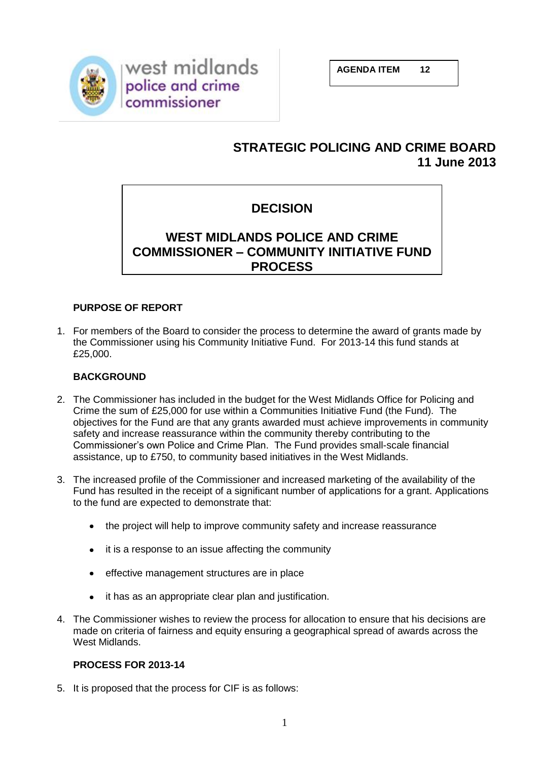

west midlands police and crime commissioner

**AGENDA ITEM 12**

## **STRATEGIC POLICING AND CRIME BOARD 11 June 2013**

# **DECISION**

## **WEST MIDLANDS POLICE AND CRIME COMMISSIONER – COMMUNITY INITIATIVE FUND PROCESS**

## **PURPOSE OF REPORT**

1. For members of the Board to consider the process to determine the award of grants made by the Commissioner using his Community Initiative Fund. For 2013-14 this fund stands at £25,000.

## **BACKGROUND**

- 2. The Commissioner has included in the budget for the West Midlands Office for Policing and Crime the sum of £25,000 for use within a Communities Initiative Fund (the Fund). The objectives for the Fund are that any grants awarded must achieve improvements in community safety and increase reassurance within the community thereby contributing to the Commissioner's own Police and Crime Plan. The Fund provides small-scale financial assistance, up to £750, to community based initiatives in the West Midlands.
- 3. The increased profile of the Commissioner and increased marketing of the availability of the Fund has resulted in the receipt of a significant number of applications for a grant. Applications to the fund are expected to demonstrate that:
	- the project will help to improve community safety and increase reassurance  $\bullet$
	- it is a response to an issue affecting the community  $\bullet$
	- effective management structures are in place  $\bullet$
	- $\bullet$ it has as an appropriate clear plan and justification.
- 4. The Commissioner wishes to review the process for allocation to ensure that his decisions are made on criteria of fairness and equity ensuring a geographical spread of awards across the West Midlands.

## **PROCESS FOR 2013-14**

5. It is proposed that the process for CIF is as follows: